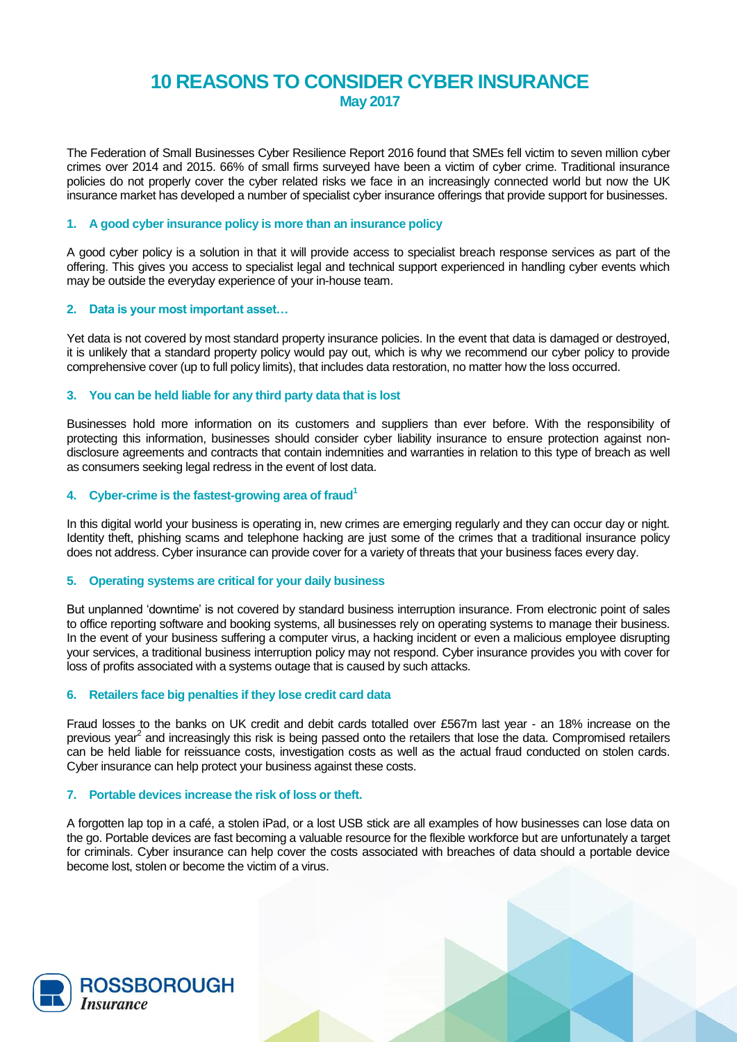# **10 REASONS TO CONSIDER CYBER INSURANCE May 2017**

The Federation of Small Businesses Cyber Resilience Report 2016 found that SMEs fell victim to seven million cyber crimes over 2014 and 2015. 66% of small firms surveyed have been a victim of cyber crime. Traditional insurance policies do not properly cover the cyber related risks we face in an increasingly connected world but now the UK insurance market has developed a number of specialist cyber insurance offerings that provide support for businesses.

## **1. A good cyber insurance policy is more than an insurance policy**

A good cyber policy is a solution in that it will provide access to specialist breach response services as part of the offering. This gives you access to specialist legal and technical support experienced in handling cyber events which may be outside the everyday experience of your in-house team.

## **2. Data is your most important asset…**

Yet data is not covered by most standard property insurance policies. In the event that data is damaged or destroyed, it is unlikely that a standard property policy would pay out, which is why we recommend our cyber policy to provide comprehensive cover (up to full policy limits), that includes data restoration, no matter how the loss occurred.

## **3. You can be held liable for any third party data that is lost**

Businesses hold more information on its customers and suppliers than ever before. With the responsibility of protecting this information, businesses should consider cyber liability insurance to ensure protection against nondisclosure agreements and contracts that contain indemnities and warranties in relation to this type of breach as well as consumers seeking legal redress in the event of lost data.

## **4. Cyber-crime is the fastest-growing area of fraud<sup>1</sup>**

In this digital world your business is operating in, new crimes are emerging regularly and they can occur day or night. Identity theft, phishing scams and telephone hacking are just some of the crimes that a traditional insurance policy does not address. Cyber insurance can provide cover for a variety of threats that your business faces every day.

## **5. Operating systems are critical for your daily business**

But unplanned 'downtime' is not covered by standard business interruption insurance. From electronic point of sales to office reporting software and booking systems, all businesses rely on operating systems to manage their business. In the event of your business suffering a computer virus, a hacking incident or even a malicious employee disrupting your services, a traditional business interruption policy may not respond. Cyber insurance provides you with cover for loss of profits associated with a systems outage that is caused by such attacks.

### **6. Retailers face big penalties if they lose credit card data**

Fraud losses to the banks on UK credit and debit cards totalled over £567m last year - an 18% increase on the previous year<sup>2</sup> and increasingly this risk is being passed onto the retailers that lose the data. Compromised retailers can be held liable for reissuance costs, investigation costs as well as the actual fraud conducted on stolen cards. Cyber insurance can help protect your business against these costs.

### **7. Portable devices increase the risk of loss or theft.**

A forgotten lap top in a café, a stolen iPad, or a lost USB stick are all examples of how businesses can lose data on the go. Portable devices are fast becoming a valuable resource for the flexible workforce but are unfortunately a target for criminals. Cyber insurance can help cover the costs associated with breaches of data should a portable device become lost, stolen or become the victim of a virus.